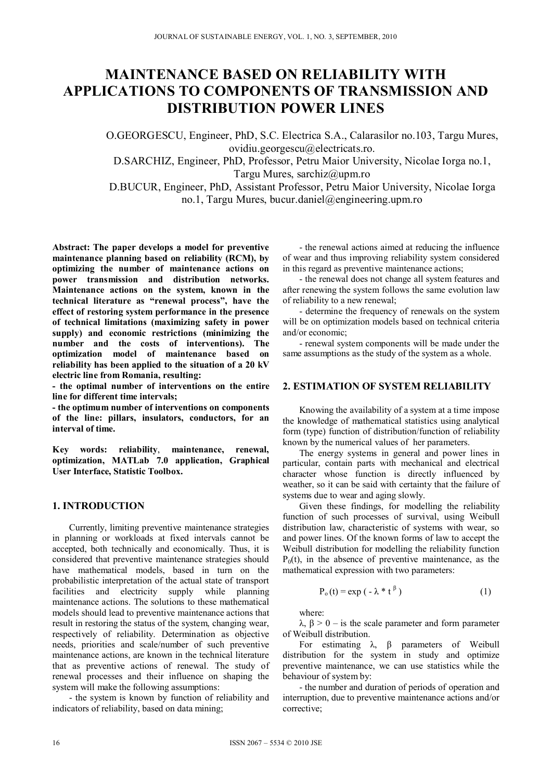# **MAINTENANCE BASED ON RELIABILITY WITH APPLICATIONS TO COMPONENTS OF TRANSMISSION AND DISTRIBUTION POWER LINES**

O.GEORGESCU, Engineer, PhD, S.C. Electrica S.A., Calarasilor no.103, Targu Mures, ovidiu.georgescu@electricats.ro.

D.SARCHIZ, Engineer, PhD, Professor, Petru Maior University, Nicolae Iorga no.1, Targu Mures, sarchiz@upm.ro

D.BUCUR, Engineer, PhD, Assistant Professor, Petru Maior University, Nicolae Iorga no.1, Targu Mures, bucur.daniel@engineering.upm.ro

**Abstract: The paper develops a model for preventive maintenance planning based on reliability (RCM), by optimizing the number of maintenance actions on power transmission and distribution networks. Maintenance actions on the system, known in the technical literature as "renewal process", have the effect of restoring system performance in the presence of technical limitations (maximizing safety in power supply) and economic restrictions (minimizing the number and the costs of interventions). The optimization model of maintenance based on reliability has been applied to the situation of a 20 kV electric line from Romania, resulting:** 

**- the optimal number of interventions on the entire line for different time intervals;** 

**- the optimum number of interventions on components of the line: pillars, insulators, conductors, for an interval of time.** 

**Key words: reliability**, **maintenance, renewal, optimization, MATLab 7.0 application, Graphical User Interface, Statistic Toolbox.** 

# **1. INTRODUCTION**

Currently, limiting preventive maintenance strategies in planning or workloads at fixed intervals cannot be accepted, both technically and economically. Thus, it is considered that preventive maintenance strategies should have mathematical models, based in turn on the probabilistic interpretation of the actual state of transport facilities and electricity supply while planning maintenance actions. The solutions to these mathematical models should lead to preventive maintenance actions that result in restoring the status of the system, changing wear, respectively of reliability. Determination as objective needs, priorities and scale/number of such preventive maintenance actions, are known in the technical literature that as preventive actions of renewal. The study of renewal processes and their influence on shaping the system will make the following assumptions:

- the system is known by function of reliability and indicators of reliability, based on data mining;

- the renewal actions aimed at reducing the influence of wear and thus improving reliability system considered in this regard as preventive maintenance actions;

- the renewal does not change all system features and after renewing the system follows the same evolution law of reliability to a new renewal;

- determine the frequency of renewals on the system will be on optimization models based on technical criteria and/or economic;

- renewal system components will be made under the same assumptions as the study of the system as a whole.

## **2. ESTIMATION OF SYSTEM RELIABILITY**

Knowing the availability of a system at a time impose the knowledge of mathematical statistics using analytical form (type) function of distribution/function of reliability known by the numerical values of her parameters.

The energy systems in general and power lines in particular, contain parts with mechanical and electrical character whose function is directly influenced by weather, so it can be said with certainty that the failure of systems due to wear and aging slowly.

Given these findings, for modelling the reliability function of such processes of survival, using Weibull distribution law, characteristic of systems with wear, so and power lines. Of the known forms of law to accept the Weibull distribution for modelling the reliability function  $P_0(t)$ , in the absence of preventive maintenance, as the mathematical expression with two parameters:

$$
P_o(t) = \exp(-\lambda * t^{\beta})
$$
 (1)

where:

 $λ$ ,  $β > 0 - is$  the scale parameter and form parameter of Weibull distribution.

For estimating  $\lambda$ ,  $\beta$  parameters of Weibull distribution for the system in study and optimize preventive maintenance, we can use statistics while the behaviour of system by:

- the number and duration of periods of operation and interruption, due to preventive maintenance actions and/or corrective;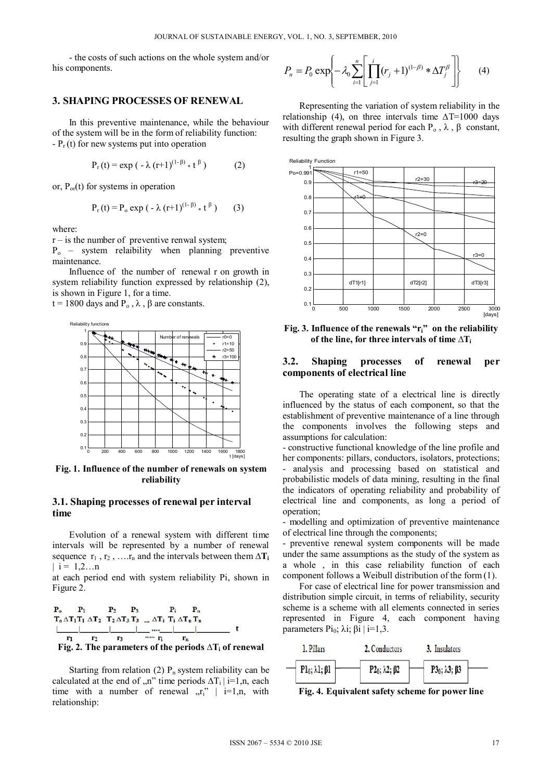- the costs of such actions on the whole system and/or his components.

#### **3. SHAPING PROCESSES OF RENEWAL**

In this preventive maintenance, while the behaviour of the system will be in the form of reliability function:  $-P_r(t)$  for new systems put into operation

$$
P_r(t) = \exp(-\lambda (r+1)^{(1-\beta)} * t^{\beta})
$$
 (2)

or,  $P_{or}(t)$  for systems in operation

$$
P_r(t) = P_o \exp(-\lambda (r+1)^{(1-\beta)} * t^{\beta})
$$
 (3)

where:

 $r -$  is the number of preventive renwal system;

 $P_{o}$  – system relaibility when planning preventive maintenance.

Influence of the number of renewal r on growth in system reliability function expressed by relationship (2), is shown in Figure 1, for a time.

t = 1800 days and  $P_0$ ,  $\lambda$ ,  $\beta$  are constants.



**Fig. 1. Influence of the number of renewals on system reliability**

## **3.1. Shaping processes of renewal per interval time**

Evolution of a renewal system with different time intervals will be represented by a number of renewal sequence  $r_1$ ,  $r_2$ , …. $r_n$  and the intervals between them  $\Delta T_i$  $|i = 1, 2...n$ 

at each period end with system reliability Pi, shown in Figure 2.

$$
\begin{array}{cccccc}\nP_0 & P_1 & P_2 & P_3 & P_i & P_n \\
T_0 \Delta T_1 T_1 \Delta T_2 & T_2 \Delta T_3 T_3 & \dots \Delta T_i & T_i \Delta T_n T_n \\
\underbrace{\begin{array}{c|c|c|c} & \dots & \dots & \dots & \dots \\
\hline\nr_1 & r_2 & r_3 & & \dots & r_n \\
\end{array}} & \dots & \dots & \dots & \dots & \dots & \dots & \dots \\
\hline\nFig. 2. The parameters of the periods  $\Delta T_i$  of renewal
$$

Starting from relation (2)  $P_n$  system reliability can be calculated at the end of  $n$ " time periods  $\Delta T_i$  | i=1,n, each time with a number of renewal  $\pi$ <sup>"</sup> | i=1,n, with relationship:

$$
P_n = P_0 \exp\left\{-\lambda_0 \sum_{i=1}^n \left[\prod_{j=1}^i (r_j + 1)^{(1-\beta)} * \Delta T_j^{\beta}\right]\right\}
$$
 (4)

Representing the variation of system reliability in the relationship (4), on three intervals time  $\Delta$ T=1000 days with different renewal period for each  $P_0$ ,  $\lambda$ ,  $\beta$  constant, resulting the graph shown in Figure 3.



**Fig. 3. Influence of the renewals "ri" on the reliability of the line, for three intervals of time ∆Ti**

# **3.2. Shaping processes of renewal per components of electrical line**

The operating state of a electrical line is directly influenced by the status of each component, so that the establishment of preventive maintenance of a line through the components involves the following steps and assumptions for calculation:

- constructive functional knowledge of the line profile and her components: pillars, conductors, isolators, protections; - analysis and processing based on statistical and probabilistic models of data mining, resulting in the final the indicators of operating reliability and probability of electrical line and components, as long a period of operation;

- modelling and optimization of preventive maintenance of electrical line through the components;

- preventive renewal system components will be made under the same assumptions as the study of the system as a whole , in this case reliability function of each component follows a Weibull distribution of the form (1).

For case of electrical line for power transmission and distribution simple circuit, in terms of reliability, security scheme is a scheme with all elements connected in series represented in Figure 4, each component having parameters Pi<sub>0</sub>; λi; βi | i=1,3.



**Fig. 4. Equivalent safety scheme for power line**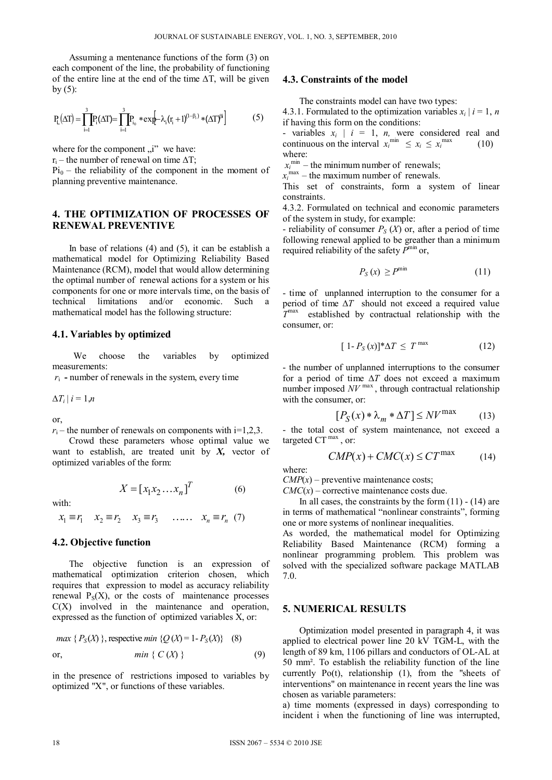Assuming a mentenance functions of the form (3) on each component of the line, the probability of functioning of the entire line at the end of the time **∆**T, will be given by  $(5)$ :

$$
P_L(\Delta T) = \prod_{i=1}^3 P_i(\Delta T) = \prod_{i=1}^3 P_{i_0} * \exp[-\lambda_i (r_i + 1)^{(1-\beta_i)} * (\Delta T)^{i i}]
$$
(5)

where for the component  $\mu$ <sup>"</sup> we have:

 $r_i$  – the number of renewal on time  $\Delta T$ ;

 $Pi_0$  – the reliability of the component in the moment of planning preventive maintenance.

# **4. THE OPTIMIZATION OF PROCESSES OF RENEWAL PREVENTIVE**

In base of relations  $(4)$  and  $(5)$ , it can be establish a mathematical model for Optimizing Reliability Based Maintenance (RCM), model that would allow determining the optimal number of renewal actions for a system or his components for one or more intervals time, on the basis of technical limitations and/or economic. Such a mathematical model has the following structure:

#### **4.1. Variables by optimized**

We choose the variables by optimized measurements:

 $r_i$  - number of renewals in the system, every time

 $\Delta T_i | i = 1, n$ 

or,

$$
r_i
$$
 – the number of renewals on components with i=1,2,3.

Crowd these parameters whose optimal value we want to establish, are treated unit by *X,* vector of optimized variables of the form:

$$
X = [x_1 x_2 \dots x_n]^T
$$
 (6)

with:

 $x_1 \equiv r_1$   $x_2 \equiv r_2$   $x_3 \equiv r_3$  .....  $x_n \equiv r_n$  (7)

#### **4.2. Objective function**

The objective function is an expression of mathematical optimization criterion chosen, which requires that expression to model as accuracy reliability renewal  $P_S(X)$ , or the costs of maintenance processes  $C(X)$  involved in the maintenance and operation, expressed as the function of optimized variables X, or:

$$
max \{ P_S(X) \}, \text{ respective } min \{ Q(X) = 1 - P_S(X) \} \quad (8)
$$
\n
$$
on, \qquad min \{ C(X) \} \tag{9}
$$

in the presence of restrictions imposed to variables by optimized "X", or functions of these variables.

#### **4.3. Constraints of the model**

The constraints model can have two types:

4.3.1. Formulated to the optimization variables  $x_i$  |  $i = 1, n$ if having this form on the conditions:

- variables  $x_i$  |  $i = 1$ , *n*, were considered real and continuous on the interval  $x_i^{\min} \le x_i \le x_i^{\max}$  (10) where:

 $x_i^{\text{min}}$  – the minimum number of renewals;

 $x_i^{\text{max}}$  – the maximum number of renewals.

This set of constraints, form a system of linear constraints.

4.3.2. Formulated on technical and economic parameters of the system in study, for example:

- reliability of consumer  $P_S(X)$  or, after a period of time following renewal applied to be greather than a minimum required reliability of the safety  $P^{\min}$  or,

$$
P_S(x) \ge P^{\min} \tag{11}
$$

- time of unplanned interruption to the consumer for a period of time ∆*T* should not exceed a required value *T*max established by contractual relationship with the consumer, or:

$$
[1 - P_S(x)]^* \Delta T \le T^{\max} \tag{12}
$$

- the number of unplanned interruptions to the consumer for a period of time ∆*T* does not exceed a maximum number imposed *NV* max , through contractual relationship with the consumer, or:

$$
[P_S(x) * \lambda_m * \Delta T] \leq N V^{\max} \tag{13}
$$

- the total cost of system maintenance, not exceed a targeted  $CT^{max}$ , or:

$$
CMP(x) + CMC(x) \le CT^{\max} \tag{14}
$$

where:

 $CMP(x)$  – preventive maintenance costs;  $CMC(x)$  – corrective maintenance costs due.

In all cases, the constraints by the form  $(11) - (14)$  are in terms of mathematical "nonlinear constraints", forming one or more systems of nonlinear inequalities.

As worded, the mathematical model for Optimizing Reliability Based Maintenance (RCM) forming a nonlinear programming problem. This problem was solved with the specialized software package MATLAB 7.0.

#### **5. NUMERICAL RESULTS**

Optimization model presented in paragraph 4, it was applied to electrical power line 20 kV TGM-L, with the length of 89 km, 1106 pillars and conductors of OL-AL at 50 mm². To establish the reliability function of the line currently  $Po(t)$ , relationship  $(1)$ , from the "sheets of interventions" on maintenance in recent years the line was chosen as variable parameters:

a) time moments (expressed in days) corresponding to incident i when the functioning of line was interrupted,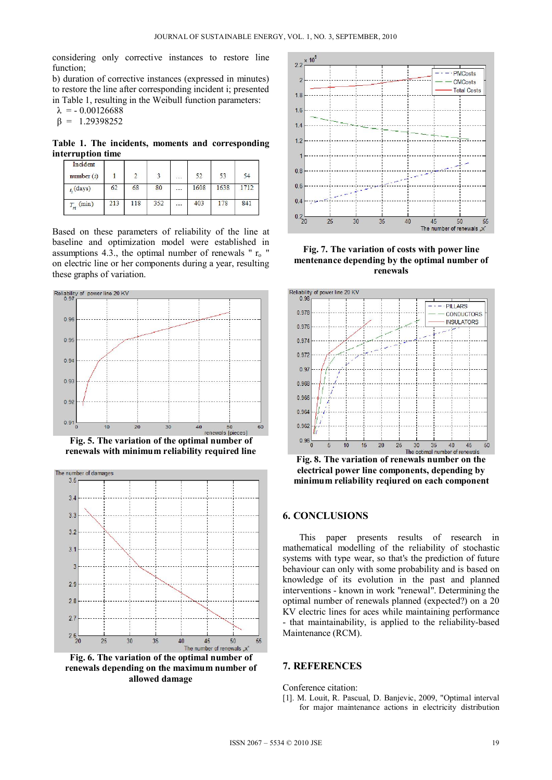considering only corrective instances to restore line function<sup>-</sup>

b) duration of corrective instances (expressed in minutes) to restore the line after corresponding incident i; presented in Table 1, resulting in the Weibull function parameters:

 $λ = -0.00126688$ 

$$
\beta = 1.29398252
$$

**Table 1. The incidents, moments and corresponding interruption time** 

| Incident<br>number $(i)$ |     |     |     | $\overline{a}$      | 52   | 53   | 54  |
|--------------------------|-----|-----|-----|---------------------|------|------|-----|
| $t_i$ (days)             | 62  | 68  | 80  | $\cdot \cdot \cdot$ | 1608 | 1638 |     |
| $T_{ri}$ (min)           | 213 | 118 | 352 |                     | 403  | 178  | 841 |

Based on these parameters of reliability of the line at baseline and optimization model were established in assumptions 4.3., the optimal number of renewals " $r_0$ " on electric line or her components during a year, resulting these graphs of variation.







**Fig. 6. The variation of the optimal number of renewals depending on the maximum number of allowed damage**



**Fig. 7. The variation of costs with power line mentenance depending by the optimal number of renewals**



**Fig. 8. The variation of renewals number on the electrical power line components, depending by minimum reliability reqiured on each component** 

## **6. CONCLUSIONS**

This paper presents results of research in mathematical modelling of the reliability of stochastic systems with type wear, so that's the prediction of future behaviour can only with some probability and is based on knowledge of its evolution in the past and planned interventions - known in work "renewal". Determining the optimal number of renewals planned (expected?) on a 20 KV electric lines for aces while maintaining performance - that maintainability, is applied to the reliability-based Maintenance (RCM).

### **7. REFERENCES**

Conference citation:

[1]. M. Louit, R. Pascual, D. Banjevic, 2009, "Optimal interval for major maintenance actions in electricity distribution